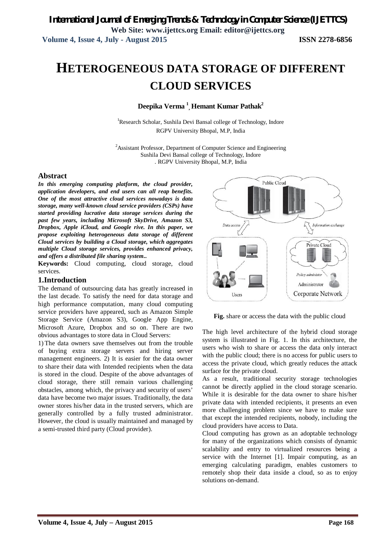# **HETEROGENEOUS DATA STORAGE OF DIFFERENT CLOUD SERVICES**

**Deepika Verma <sup>1</sup> , Hemant Kumar Pathak<sup>2</sup>**

<sup>1</sup>Research Scholar, Sushila Devi Bansal college of Technology, Indore RGPV University Bhopal, M.P, India

<sup>2</sup> Assistant Professor, Department of Computer Science and Engineering Sushila Devi Bansal college of Technology, Indore . RGPV University Bhopal, M.P, India

#### **Abstract**

*In this emerging computing platform, the cloud provider, application developers, and end users can all reap benefits. One of the most attractive cloud services nowadays is data storage, many well-known cloud service providers (CSPs) have started providing lucrative data storage services during the past few years, including Microsoft SkyDrive, Amazon S3, Dropbox, Apple iCloud, and Google rive. In this paper, we propose exploiting heterogeneous data storage of different Cloud services by building a Cloud storage, which aggregates multiple Cloud storage services, provides enhanced privacy, and offers a distributed file sharing system..*

**Keywords:** Cloud computing, cloud storage, cloud services.

### **1.Introduction**

The demand of outsourcing data has greatly increased in the last decade. To satisfy the need for data storage and high performance computation, many cloud computing service providers have appeared, such as Amazon Simple Storage Service (Amazon S3), Google App Engine, Microsoft Azure, Dropbox and so on. There are two obvious advantages to store data in Cloud Servers:

1) The data owners save themselves out from the trouble of buying extra storage servers and hiring server management engineers. 2) It is easier for the data owner to share their data with Intended recipients when the data is stored in the cloud. Despite of the above advantages of cloud storage, there still remain various challenging obstacles, among which, the privacy and security of users' data have become two major issues. Traditionally, the data owner stores his/her data in the trusted servers, which are generally controlled by a fully trusted administrator. However, the cloud is usually maintained and managed by a semi-trusted third party (Cloud provider).



**Fig.** share or access the data with the public cloud

The high level architecture of the hybrid cloud storage system is illustrated in Fig. 1. In this architecture, the users who wish to share or access the data only interact with the public cloud; there is no access for public users to access the private cloud, which greatly reduces the attack surface for the private cloud.

As a result, traditional security storage technologies cannot be directly applied in the cloud storage scenario. While it is desirable for the data owner to share his/her private data with intended recipients, it presents an even more challenging problem since we have to make sure that except the intended recipients, nobody, including the cloud providers have access to Data.

Cloud computing has grown as an adoptable technology for many of the organizations which consists of dynamic scalability and entry to virtualized resources being a service with the Internet [1]. Impair computing, as an emerging calculating paradigm, enables customers to remotely shop their data inside a cloud, so as to enjoy solutions on-demand.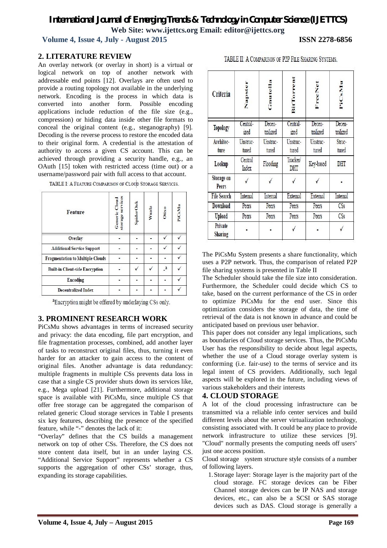## *International Journal of Emerging Trends & Technology in Computer Science (IJETTCS)* **Web Site: www.ijettcs.org Email: editor@ijettcs.org**

 **Volume 4, Issue 4, July - August 2015 ISSN 2278-6856**

## **2. LITERATURE REVIEW**

An overlay network (or overlay in short) is a virtual or logical network on top of another network with addressable end points [12]. Overlays are often used to provide a routing topology not available in the underlying network. Encoding is the process in which data is converted into another form. Possible encoding applications include reduction of the file size (e.g., compression) or hiding data inside other file formats to conceal the original content (e.g., steganography) [9]. Decoding is the reverse process to restore the encoded data to their original form. A credential is the attestation of authority to access a given CS account. This can be achieved through providing a security handle, e.g., an OAuth [15] token with restricted access (time out) or a username/password pair with full access to that account.

| Feature                                 | storage services<br>Generic Cloud | <b>SpiderOak</b> | Wuala | Otixo | PiCsMu |
|-----------------------------------------|-----------------------------------|------------------|-------|-------|--------|
| <b>Overlay</b>                          |                                   |                  |       |       |        |
| <b>Additional Service Support</b>       |                                   |                  |       |       |        |
| <b>Fragmentation to Multiple Clouds</b> |                                   |                  |       |       |        |
| <b>Built-in Client-side Encryption</b>  |                                   |                  |       | a     |        |
| Encoding                                |                                   |                  |       |       |        |
| <b>Decentralized Index</b>              |                                   |                  |       |       |        |

TABLE I: A FEATURE COMPARISON OF CLOUD STORAGE SERVICES.

<sup>a</sup>Encryption might be offered by underlaying CSs only.

## **3. PROMINENT RESEARCH WORK**

PiCsMu shows advantages in terms of increased security and privacy: the data encoding, file part encryption, and file fragmentation processes, combined, add another layer of tasks to reconstruct original files, thus, turning it even harder for an attacker to gain access to the content of original files. Another advantage is data redundancy: multiple fragments in multiple CSs prevents data loss in case that a single CS provider shuts down its services like, e.g., Mega upload [21]. Furthermore, additional storage space is available with PiCsMu, since multiple CS that offer free storage can be aggregated the comparison of related generic Cloud storage services in Table I presents six key features, describing the presence of the specified feature, while "-" denotes the lack of it:

"Overlay" defines that the CS builds a management network on top of other CSs. Therefore, the CS does not store content data itself, but in an under laying CS. "Additional Service Support" represents whether a CS supports the aggregation of other CSs' storage, thus, expanding its storage capabilities.

| Criteria |  |  |  |
|----------|--|--|--|

TABLE II: A COMPARISON OF P2P FILE SHARING SYSTEMS

|                     | $\frac{1}{2}$     | Š                  | <b>Bit</b>        | Fre                | E                  |
|---------------------|-------------------|--------------------|-------------------|--------------------|--------------------|
| Topology            | Central-<br>ized  | Decen-<br>tralized | Central-<br>ized  | Decen-<br>tralized | Decen-<br>tralized |
| Architec-<br>ture   | Unstruc-<br>tured | Unstruc-<br>tured  | Unstruc-<br>tured | Unstruc-<br>tured  | Struc-<br>tured    |
| Lookup              | Central<br>Index  | Flooding           | Tracker/<br>DHT   | Key-based          | DHT                |
| Storage on<br>Peers |                   |                    |                   |                    |                    |
| <b>File Search</b>  | Internal          | Internal           | External          | External           | Internal           |
| Download            | Peers             | Peers              | Peers             | Peers              | CSs                |
| Upload              | Peers             | Peers              | Peers             | Peers              | CSs                |
| Private<br>Sharing  |                   |                    |                   |                    |                    |

The PiCsMu System presents a share functionality, which uses a P2P network. Thus, the comparison of related P2P file sharing systems is presented in Table II

The Scheduler should take the file size into consideration. Furthermore, the Scheduler could decide which CS to take, based on the current performance of the CS in order to optimize PiCsMu for the end user. Since this optimization considers the storage of data, the time of retrieval of the data is not known in advance and could be anticipated based on previous user behavior.

This paper does not consider any legal implications, such as boundaries of Cloud storage services. Thus, the PiCsMu User has the responsibility to decide about legal aspects, whether the use of a Cloud storage overlay system is conforming (i.e. fair-use) to the terms of service and its legal intent of CS providers. Additionally, such legal aspects will be explored in the future, including views of various stakeholders and their interests

## **4. CLOUD STORAGE**

A lot of the cloud processing infrastructure can be transmitted via a reliable info center services and build different levels about the server virtualization technology, consisting associated with. It could be any place to provide network infrastructure to utilize these services [9]. "Cloud" normally presents the computing needs off users' just one access position.

Cloud storage system structure style consists of a number of following layers.

1.Storage layer: Storage layer is the majority part of the cloud storage. FC storage devices can be Fiber Channel storage devices can be IP NAS and storage devices, etc., can also be a SCSI or SAS storage devices such as DAS. Cloud storage is generally a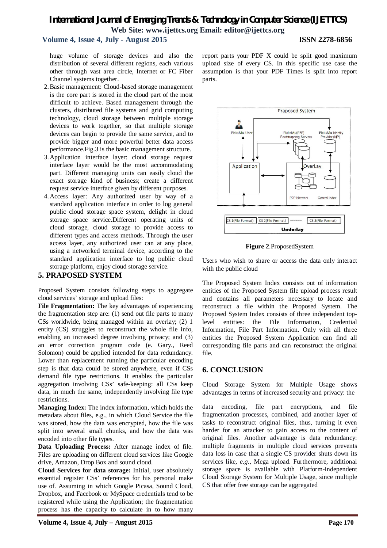## *International Journal of Emerging Trends & Technology in Computer Science (IJETTCS)* **Web Site: www.ijettcs.org Email: editor@ijettcs.org**

## **Volume 4, Issue 4, July - August 2015 ISSN 2278-6856**

huge volume of storage devices and also the distribution of several different regions, each various other through vast area circle, Internet or FC Fiber Channel systems together.

- 2.Basic management: Cloud-based storage management is the core part is stored in the cloud part of the most difficult to achieve. Based management through the clusters, distributed file systems and grid computing technology, cloud storage between multiple storage devices to work together, so that multiple storage devices can begin to provide the same service, and to provide bigger and more powerful better data access performance.Fig.3 is the basic management structure.
- 3.Application interface layer: cloud storage request interface layer would be the most accommodating part. Different managing units can easily cloud the exact storage kind of business; create a different request service interface given by different purposes.
- 4.Access layer: Any authorized user by way of a standard application interface in order to log general public cloud storage space system, delight in cloud storage space service.Different operating units of cloud storage, cloud storage to provide access to different types and access methods. Through the user access layer, any authorized user can at any place, using a networked terminal device, according to the standard application interface to log public cloud storage platform, enjoy cloud storage service.

## **5. PRAPOSED SYSTEM**

Proposed System consists following steps to aggregate cloud services' storage and upload files:

**File Fragmentation:** The key advantages of experiencing the fragmentation step are: (1) send out file parts to many CSs worldwide, being managed within an overlay; (2) 1 entity (CS) struggles to reconstruct the whole file info, enabling an increased degree involving privacy; and (3) an error correction program code (e. Gary., Reed Solomon) could be applied intended for data redundancy. Lower than replacement running the particular encoding step is that data could be stored anywhere, even if CSs demand file type restrictions. It enables the particular aggregation involving CSs' safe-keeping: all CSs keep data, in much the same, independently involving file type restrictions.

**Managing Index:** The index information, which holds the metadata about files, e.g., in which Cloud Service the file was stored, how the data was encrypted, how the file was split into several small chunks, and how the data was encoded into other file types.

**Data Uploading Process:** After manage index of file. Files are uploading on different cloud services like Google drive, Amazon, Drop Box and sound cloud.

**Cloud Services for data storage:** Initial, user absolutely essential register CSs' references for his personal make use of. Assuming in which Google Picasa, Sound Cloud, Dropbox, and Facebook or MySpace credentials tend to be registered while using the Application; the fragmentation process has the capacity to calculate in to how many

report parts your PDF X could be split good maximum upload size of every CS. In this specific use case the assumption is that your PDF Times is split into report parts.



**Figure 2**.ProposedSystem

Users who wish to share or access the data only interact with the public cloud

The Proposed System Index consists out of information entities of the Proposed System file upload process result and contains all parameters necessary to locate and reconstruct a file within the Proposed System. The Proposed System Index consists of three independent toplevel entities: the File Information, Credential Information, File Part Information. Only with all three entities the Proposed System Application can find all corresponding file parts and can reconstruct the original file.

## **6. CONCLUSION**

Cloud Storage System for Multiple Usage shows advantages in terms of increased security and privacy: the

data encoding, file part encryptions, and file fragmentation processes, combined, add another layer of tasks to reconstruct original files, thus, turning it even harder for an attacker to gain access to the content of original files. Another advantage is data redundancy: multiple fragments in multiple cloud services prevents data loss in case that a single CS provider shuts down its services like, *e.g.*, Mega upload. Furthermore, additional storage space is available with Platform-independent Cloud Storage System for Multiple Usage, since multiple CS that offer free storage can be aggregated